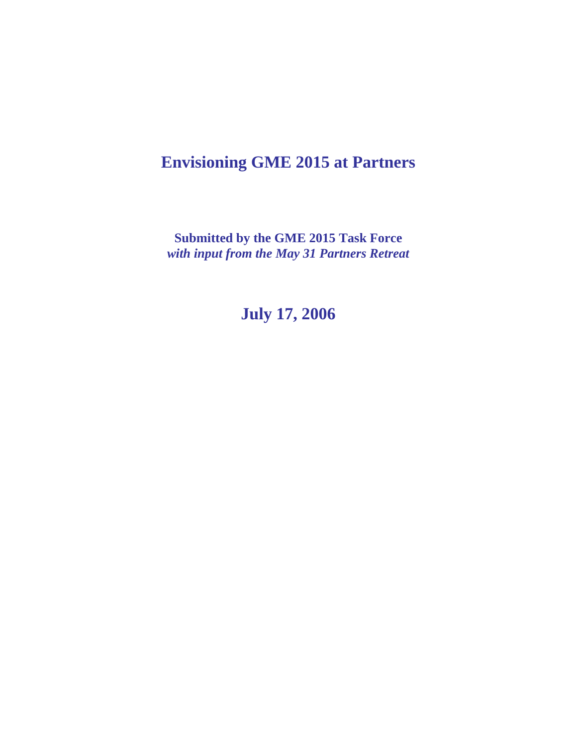# **Envisioning GME 2015 at Partners**

**Submitted by the GME 2015 Task Force**  *with input from the May 31 Partners Retreat* 

**July 17, 2006**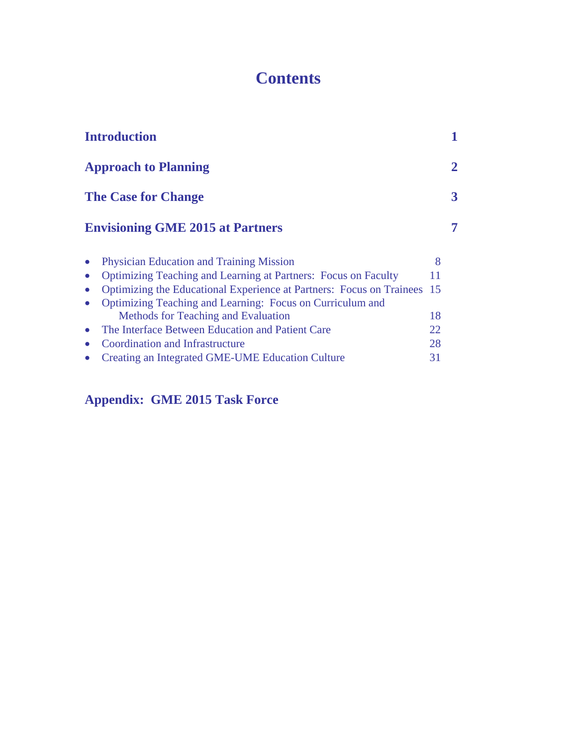# **Contents**

| <b>Introduction</b>                                                   |     |   |
|-----------------------------------------------------------------------|-----|---|
| <b>Approach to Planning</b>                                           |     | 2 |
| <b>The Case for Change</b>                                            |     | 3 |
| <b>Envisioning GME 2015 at Partners</b>                               |     | 7 |
| <b>Physician Education and Training Mission</b>                       | 8   |   |
| <b>Optimizing Teaching and Learning at Partners: Focus on Faculty</b> | 11  |   |
| Optimizing the Educational Experience at Partners: Focus on Trainees  | -15 |   |
| Optimizing Teaching and Learning: Focus on Curriculum and             |     |   |
| Methods for Teaching and Evaluation                                   | 18  |   |
| The Interface Between Education and Patient Care                      | 22. |   |
| Coordination and Infrastructure                                       | 28  |   |
| Creating an Integrated GME-UME Education Culture                      | 31  |   |
|                                                                       |     |   |

## **Appendix: GME 2015 Task Force**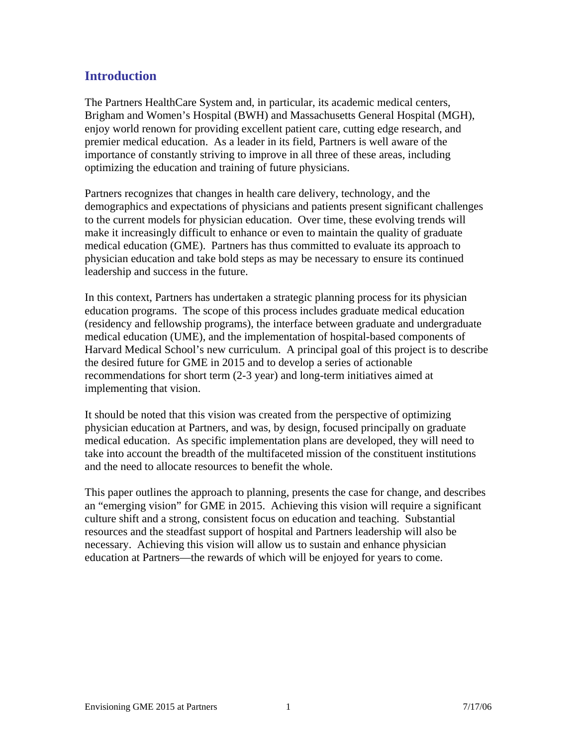### **Introduction**

The Partners HealthCare System and, in particular, its academic medical centers, Brigham and Women's Hospital (BWH) and Massachusetts General Hospital (MGH), enjoy world renown for providing excellent patient care, cutting edge research, and premier medical education. As a leader in its field, Partners is well aware of the importance of constantly striving to improve in all three of these areas, including optimizing the education and training of future physicians.

Partners recognizes that changes in health care delivery, technology, and the demographics and expectations of physicians and patients present significant challenges to the current models for physician education. Over time, these evolving trends will make it increasingly difficult to enhance or even to maintain the quality of graduate medical education (GME). Partners has thus committed to evaluate its approach to physician education and take bold steps as may be necessary to ensure its continued leadership and success in the future.

In this context, Partners has undertaken a strategic planning process for its physician education programs. The scope of this process includes graduate medical education (residency and fellowship programs), the interface between graduate and undergraduate medical education (UME), and the implementation of hospital-based components of Harvard Medical School's new curriculum. A principal goal of this project is to describe the desired future for GME in 2015 and to develop a series of actionable recommendations for short term (2-3 year) and long-term initiatives aimed at implementing that vision.

It should be noted that this vision was created from the perspective of optimizing physician education at Partners, and was, by design, focused principally on graduate medical education. As specific implementation plans are developed, they will need to take into account the breadth of the multifaceted mission of the constituent institutions and the need to allocate resources to benefit the whole.

This paper outlines the approach to planning, presents the case for change, and describes an "emerging vision" for GME in 2015. Achieving this vision will require a significant culture shift and a strong, consistent focus on education and teaching. Substantial resources and the steadfast support of hospital and Partners leadership will also be necessary. Achieving this vision will allow us to sustain and enhance physician education at Partners—the rewards of which will be enjoyed for years to come.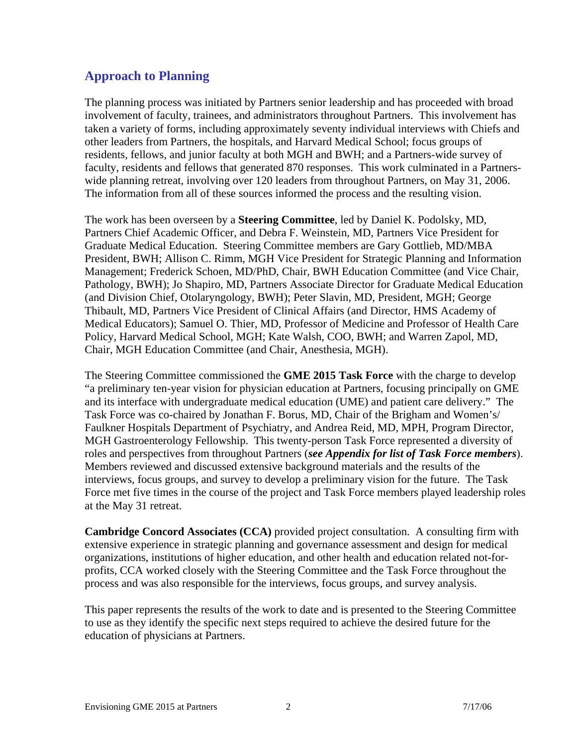### **Approach to Planning**

The planning process was initiated by Partners senior leadership and has proceeded with broad involvement of faculty, trainees, and administrators throughout Partners. This involvement has taken a variety of forms, including approximately seventy individual interviews with Chiefs and other leaders from Partners, the hospitals, and Harvard Medical School; focus groups of residents, fellows, and junior faculty at both MGH and BWH; and a Partners-wide survey of faculty, residents and fellows that generated 870 responses. This work culminated in a Partnerswide planning retreat, involving over 120 leaders from throughout Partners, on May 31, 2006. The information from all of these sources informed the process and the resulting vision.

The work has been overseen by a **Steering Committee**, led by Daniel K. Podolsky, MD, Partners Chief Academic Officer, and Debra F. Weinstein, MD, Partners Vice President for Graduate Medical Education. Steering Committee members are Gary Gottlieb, MD/MBA President, BWH; Allison C. Rimm, MGH Vice President for Strategic Planning and Information Management; Frederick Schoen, MD/PhD, Chair, BWH Education Committee (and Vice Chair, Pathology, BWH); Jo Shapiro, MD, Partners Associate Director for Graduate Medical Education (and Division Chief, Otolaryngology, BWH); Peter Slavin, MD, President, MGH; George Thibault, MD, Partners Vice President of Clinical Affairs (and Director, HMS Academy of Medical Educators); Samuel O. Thier, MD, Professor of Medicine and Professor of Health Care Policy, Harvard Medical School, MGH; Kate Walsh, COO, BWH; and Warren Zapol, MD, Chair, MGH Education Committee (and Chair, Anesthesia, MGH).

The Steering Committee commissioned the **GME 2015 Task Force** with the charge to develop "a preliminary ten-year vision for physician education at Partners, focusing principally on GME and its interface with undergraduate medical education (UME) and patient care delivery." The Task Force was co-chaired by Jonathan F. Borus, MD, Chair of the Brigham and Women's/ Faulkner Hospitals Department of Psychiatry, and Andrea Reid, MD, MPH, Program Director, MGH Gastroenterology Fellowship. This twenty-person Task Force represented a diversity of roles and perspectives from throughout Partners (*see Appendix for list of Task Force members*). Members reviewed and discussed extensive background materials and the results of the interviews, focus groups, and survey to develop a preliminary vision for the future. The Task Force met five times in the course of the project and Task Force members played leadership roles at the May 31 retreat.

**Cambridge Concord Associates (CCA)** provided project consultation. A consulting firm with extensive experience in strategic planning and governance assessment and design for medical organizations, institutions of higher education, and other health and education related not-forprofits, CCA worked closely with the Steering Committee and the Task Force throughout the process and was also responsible for the interviews, focus groups, and survey analysis.

This paper represents the results of the work to date and is presented to the Steering Committee to use as they identify the specific next steps required to achieve the desired future for the education of physicians at Partners.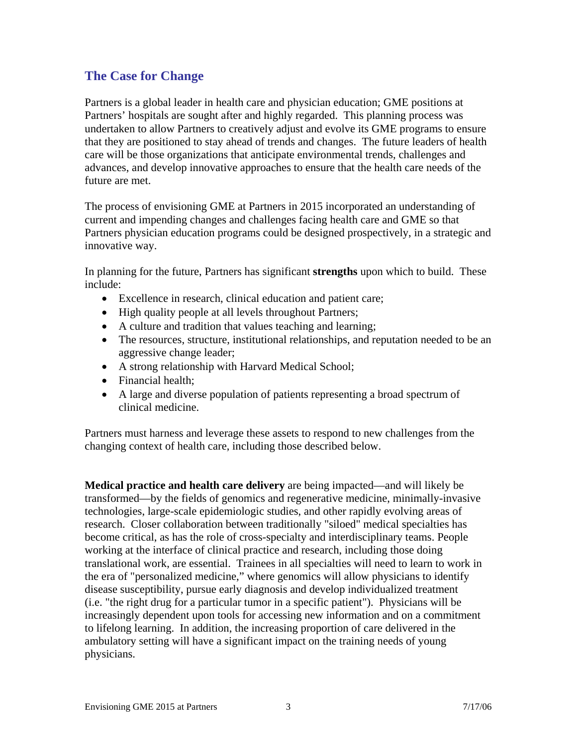### **The Case for Change**

Partners is a global leader in health care and physician education; GME positions at Partners' hospitals are sought after and highly regarded. This planning process was undertaken to allow Partners to creatively adjust and evolve its GME programs to ensure that they are positioned to stay ahead of trends and changes. The future leaders of health care will be those organizations that anticipate environmental trends, challenges and advances, and develop innovative approaches to ensure that the health care needs of the future are met.

The process of envisioning GME at Partners in 2015 incorporated an understanding of current and impending changes and challenges facing health care and GME so that Partners physician education programs could be designed prospectively, in a strategic and innovative way.

In planning for the future, Partners has significant **strengths** upon which to build. These include:

- Excellence in research, clinical education and patient care;
- High quality people at all levels throughout Partners;
- A culture and tradition that values teaching and learning;
- The resources, structure, institutional relationships, and reputation needed to be an aggressive change leader;
- A strong relationship with Harvard Medical School;
- Financial health:
- A large and diverse population of patients representing a broad spectrum of clinical medicine.

Partners must harness and leverage these assets to respond to new challenges from the changing context of health care, including those described below.

**Medical practice and health care delivery** are being impacted—and will likely be transformed—by the fields of genomics and regenerative medicine, minimally-invasive technologies, large-scale epidemiologic studies, and other rapidly evolving areas of research. Closer collaboration between traditionally "siloed" medical specialties has become critical, as has the role of cross-specialty and interdisciplinary teams. People working at the interface of clinical practice and research, including those doing translational work, are essential. Trainees in all specialties will need to learn to work in the era of "personalized medicine," where genomics will allow physicians to identify disease susceptibility, pursue early diagnosis and develop individualized treatment (i.e. "the right drug for a particular tumor in a specific patient"). Physicians will be increasingly dependent upon tools for accessing new information and on a commitment to lifelong learning. In addition, the increasing proportion of care delivered in the ambulatory setting will have a significant impact on the training needs of young physicians.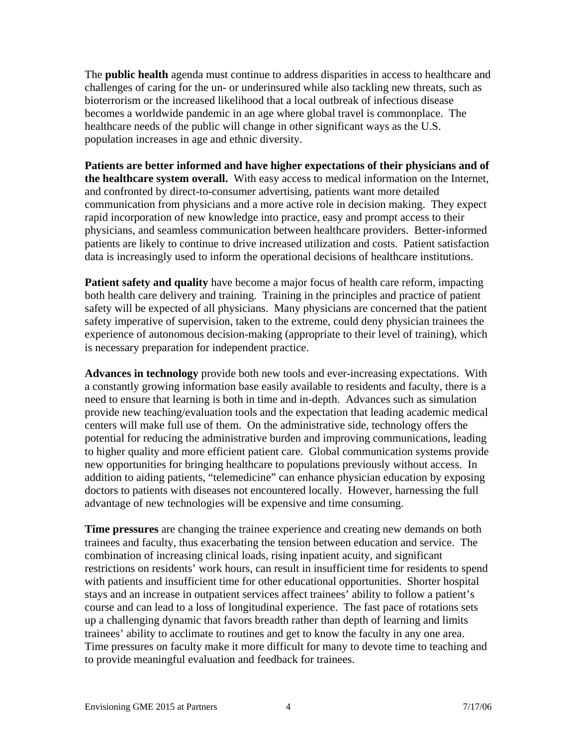The **public health** agenda must continue to address disparities in access to healthcare and challenges of caring for the un- or underinsured while also tackling new threats, such as bioterrorism or the increased likelihood that a local outbreak of infectious disease becomes a worldwide pandemic in an age where global travel is commonplace. The healthcare needs of the public will change in other significant ways as the U.S. population increases in age and ethnic diversity.

**Patients are better informed and have higher expectations of their physicians and of the healthcare system overall.** With easy access to medical information on the Internet, and confronted by direct-to-consumer advertising, patients want more detailed communication from physicians and a more active role in decision making. They expect rapid incorporation of new knowledge into practice, easy and prompt access to their physicians, and seamless communication between healthcare providers. Better-informed patients are likely to continue to drive increased utilization and costs. Patient satisfaction data is increasingly used to inform the operational decisions of healthcare institutions.

**Patient safety and quality** have become a major focus of health care reform, impacting both health care delivery and training. Training in the principles and practice of patient safety will be expected of all physicians. Many physicians are concerned that the patient safety imperative of supervision, taken to the extreme, could deny physician trainees the experience of autonomous decision-making (appropriate to their level of training), which is necessary preparation for independent practice.

**Advances in technology** provide both new tools and ever-increasing expectations. With a constantly growing information base easily available to residents and faculty, there is a need to ensure that learning is both in time and in-depth. Advances such as simulation provide new teaching/evaluation tools and the expectation that leading academic medical centers will make full use of them. On the administrative side, technology offers the potential for reducing the administrative burden and improving communications, leading to higher quality and more efficient patient care. Global communication systems provide new opportunities for bringing healthcare to populations previously without access. In addition to aiding patients, "telemedicine" can enhance physician education by exposing doctors to patients with diseases not encountered locally. However, harnessing the full advantage of new technologies will be expensive and time consuming.

**Time pressures** are changing the trainee experience and creating new demands on both trainees and faculty, thus exacerbating the tension between education and service. The combination of increasing clinical loads, rising inpatient acuity, and significant restrictions on residents' work hours, can result in insufficient time for residents to spend with patients and insufficient time for other educational opportunities. Shorter hospital stays and an increase in outpatient services affect trainees' ability to follow a patient's course and can lead to a loss of longitudinal experience. The fast pace of rotations sets up a challenging dynamic that favors breadth rather than depth of learning and limits trainees' ability to acclimate to routines and get to know the faculty in any one area. Time pressures on faculty make it more difficult for many to devote time to teaching and to provide meaningful evaluation and feedback for trainees.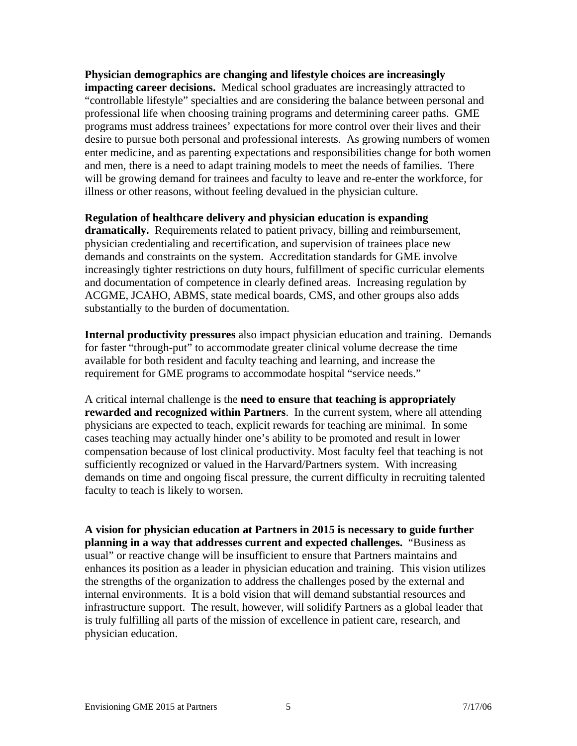**Physician demographics are changing and lifestyle choices are increasingly impacting career decisions.** Medical school graduates are increasingly attracted to "controllable lifestyle" specialties and are considering the balance between personal and professional life when choosing training programs and determining career paths. GME programs must address trainees' expectations for more control over their lives and their desire to pursue both personal and professional interests. As growing numbers of women enter medicine, and as parenting expectations and responsibilities change for both women and men, there is a need to adapt training models to meet the needs of families. There will be growing demand for trainees and faculty to leave and re-enter the workforce, for illness or other reasons, without feeling devalued in the physician culture.

#### **Regulation of healthcare delivery and physician education is expanding**

**dramatically.** Requirements related to patient privacy, billing and reimbursement, physician credentialing and recertification, and supervision of trainees place new demands and constraints on the system. Accreditation standards for GME involve increasingly tighter restrictions on duty hours, fulfillment of specific curricular elements and documentation of competence in clearly defined areas. Increasing regulation by ACGME, JCAHO, ABMS, state medical boards, CMS, and other groups also adds substantially to the burden of documentation.

**Internal productivity pressures** also impact physician education and training. Demands for faster "through-put" to accommodate greater clinical volume decrease the time available for both resident and faculty teaching and learning, and increase the requirement for GME programs to accommodate hospital "service needs."

A critical internal challenge is the **need to ensure that teaching is appropriately rewarded and recognized within Partners**. In the current system, where all attending physicians are expected to teach, explicit rewards for teaching are minimal. In some cases teaching may actually hinder one's ability to be promoted and result in lower compensation because of lost clinical productivity. Most faculty feel that teaching is not sufficiently recognized or valued in the Harvard/Partners system. With increasing demands on time and ongoing fiscal pressure, the current difficulty in recruiting talented faculty to teach is likely to worsen.

**A vision for physician education at Partners in 2015 is necessary to guide further planning in a way that addresses current and expected challenges.** "Business as usual" or reactive change will be insufficient to ensure that Partners maintains and enhances its position as a leader in physician education and training. This vision utilizes the strengths of the organization to address the challenges posed by the external and internal environments. It is a bold vision that will demand substantial resources and infrastructure support. The result, however, will solidify Partners as a global leader that is truly fulfilling all parts of the mission of excellence in patient care, research, and physician education.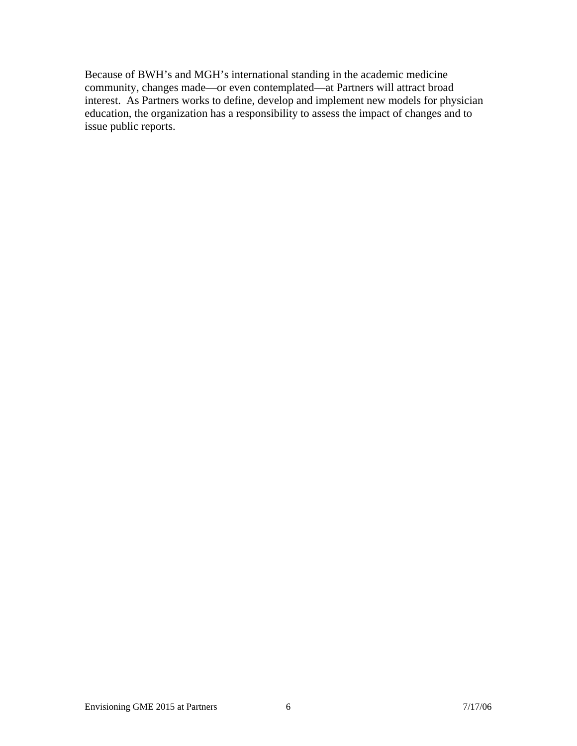Because of BWH's and MGH's international standing in the academic medicine community, changes made—or even contemplated—at Partners will attract broad interest. As Partners works to define, develop and implement new models for physician education, the organization has a responsibility to assess the impact of changes and to issue public reports.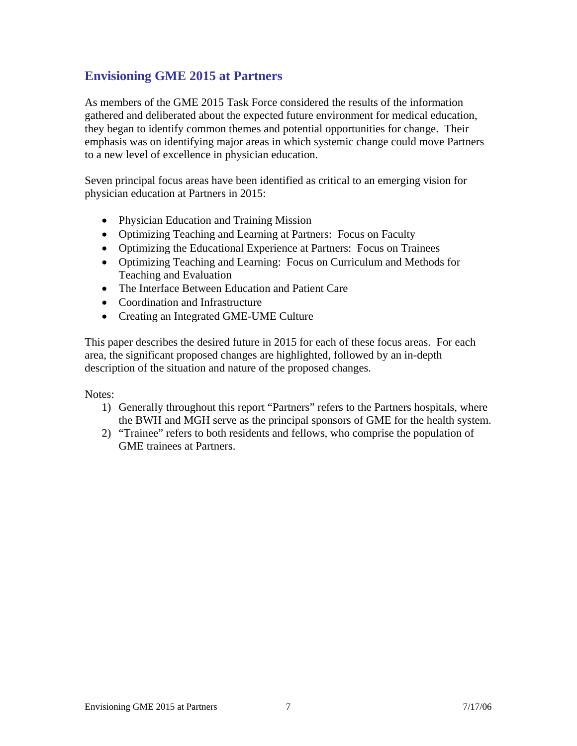### **Envisioning GME 2015 at Partners**

As members of the GME 2015 Task Force considered the results of the information gathered and deliberated about the expected future environment for medical education, they began to identify common themes and potential opportunities for change. Their emphasis was on identifying major areas in which systemic change could move Partners to a new level of excellence in physician education.

Seven principal focus areas have been identified as critical to an emerging vision for physician education at Partners in 2015:

- Physician Education and Training Mission
- Optimizing Teaching and Learning at Partners: Focus on Faculty
- Optimizing the Educational Experience at Partners: Focus on Trainees
- Optimizing Teaching and Learning: Focus on Curriculum and Methods for Teaching and Evaluation
- The Interface Between Education and Patient Care
- Coordination and Infrastructure
- Creating an Integrated GME-UME Culture

This paper describes the desired future in 2015 for each of these focus areas. For each area, the significant proposed changes are highlighted, followed by an in-depth description of the situation and nature of the proposed changes.

Notes:

- 1) Generally throughout this report "Partners" refers to the Partners hospitals, where the BWH and MGH serve as the principal sponsors of GME for the health system.
- 2) "Trainee" refers to both residents and fellows, who comprise the population of GME trainees at Partners.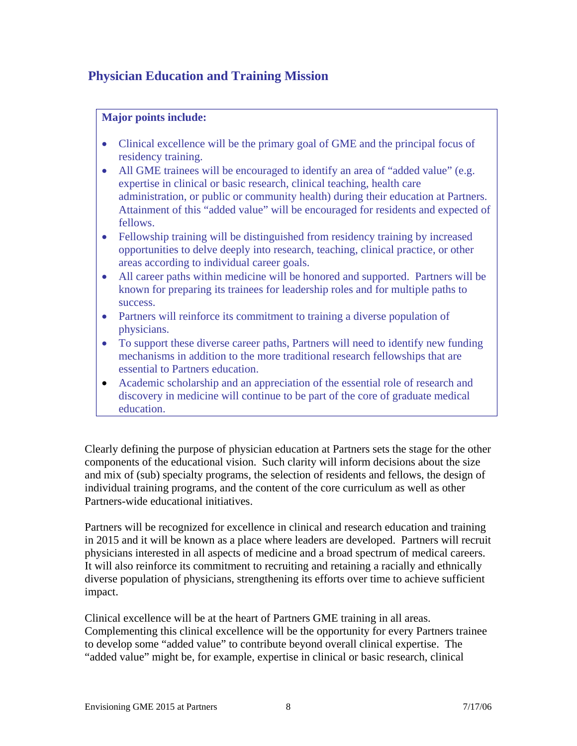### **Physician Education and Training Mission**

#### **Major points include:**

- Clinical excellence will be the primary goal of GME and the principal focus of residency training.
- All GME trainees will be encouraged to identify an area of "added value" (e.g. expertise in clinical or basic research, clinical teaching, health care administration, or public or community health) during their education at Partners. Attainment of this "added value" will be encouraged for residents and expected of fellows.
- Fellowship training will be distinguished from residency training by increased opportunities to delve deeply into research, teaching, clinical practice, or other areas according to individual career goals.
- All career paths within medicine will be honored and supported. Partners will be known for preparing its trainees for leadership roles and for multiple paths to success.
- Partners will reinforce its commitment to training a diverse population of physicians.
- To support these diverse career paths, Partners will need to identify new funding mechanisms in addition to the more traditional research fellowships that are essential to Partners education.
- Academic scholarship and an appreciation of the essential role of research and discovery in medicine will continue to be part of the core of graduate medical education.

Clearly defining the purpose of physician education at Partners sets the stage for the other components of the educational vision. Such clarity will inform decisions about the size and mix of (sub) specialty programs, the selection of residents and fellows, the design of individual training programs, and the content of the core curriculum as well as other Partners-wide educational initiatives.

Partners will be recognized for excellence in clinical and research education and training in 2015 and it will be known as a place where leaders are developed. Partners will recruit physicians interested in all aspects of medicine and a broad spectrum of medical careers. It will also reinforce its commitment to recruiting and retaining a racially and ethnically diverse population of physicians, strengthening its efforts over time to achieve sufficient impact.

Clinical excellence will be at the heart of Partners GME training in all areas. Complementing this clinical excellence will be the opportunity for every Partners trainee to develop some "added value" to contribute beyond overall clinical expertise. The "added value" might be, for example, expertise in clinical or basic research, clinical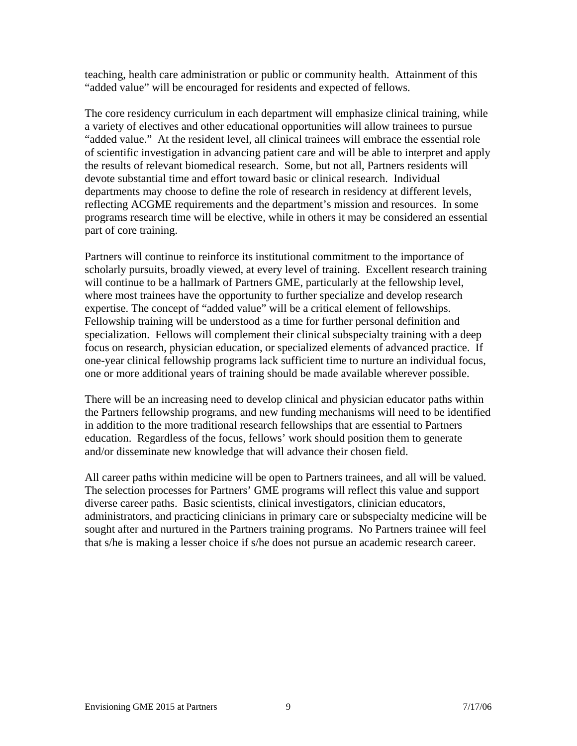teaching, health care administration or public or community health. Attainment of this "added value" will be encouraged for residents and expected of fellows.

The core residency curriculum in each department will emphasize clinical training, while a variety of electives and other educational opportunities will allow trainees to pursue "added value." At the resident level, all clinical trainees will embrace the essential role of scientific investigation in advancing patient care and will be able to interpret and apply the results of relevant biomedical research. Some, but not all, Partners residents will devote substantial time and effort toward basic or clinical research. Individual departments may choose to define the role of research in residency at different levels, reflecting ACGME requirements and the department's mission and resources. In some programs research time will be elective, while in others it may be considered an essential part of core training.

Partners will continue to reinforce its institutional commitment to the importance of scholarly pursuits, broadly viewed, at every level of training. Excellent research training will continue to be a hallmark of Partners GME, particularly at the fellowship level, where most trainees have the opportunity to further specialize and develop research expertise. The concept of "added value" will be a critical element of fellowships. Fellowship training will be understood as a time for further personal definition and specialization. Fellows will complement their clinical subspecialty training with a deep focus on research, physician education, or specialized elements of advanced practice. If one-year clinical fellowship programs lack sufficient time to nurture an individual focus, one or more additional years of training should be made available wherever possible.

There will be an increasing need to develop clinical and physician educator paths within the Partners fellowship programs, and new funding mechanisms will need to be identified in addition to the more traditional research fellowships that are essential to Partners education. Regardless of the focus, fellows' work should position them to generate and/or disseminate new knowledge that will advance their chosen field.

All career paths within medicine will be open to Partners trainees, and all will be valued. The selection processes for Partners' GME programs will reflect this value and support diverse career paths. Basic scientists, clinical investigators, clinician educators, administrators, and practicing clinicians in primary care or subspecialty medicine will be sought after and nurtured in the Partners training programs. No Partners trainee will feel that s/he is making a lesser choice if s/he does not pursue an academic research career.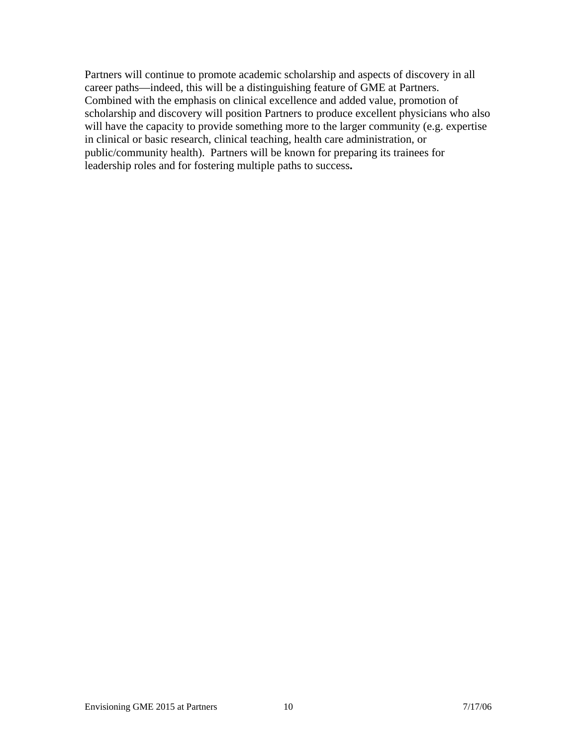Partners will continue to promote academic scholarship and aspects of discovery in all career paths—indeed, this will be a distinguishing feature of GME at Partners. Combined with the emphasis on clinical excellence and added value, promotion of scholarship and discovery will position Partners to produce excellent physicians who also will have the capacity to provide something more to the larger community (e.g. expertise in clinical or basic research, clinical teaching, health care administration, or public/community health). Partners will be known for preparing its trainees for leadership roles and for fostering multiple paths to success**.**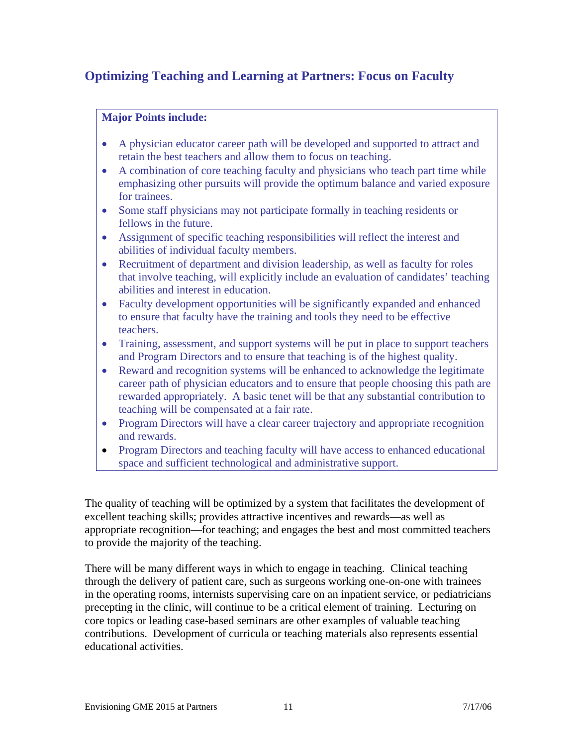### **Optimizing Teaching and Learning at Partners: Focus on Faculty**

#### **Major Points include:**

- A physician educator career path will be developed and supported to attract and retain the best teachers and allow them to focus on teaching.
- A combination of core teaching faculty and physicians who teach part time while emphasizing other pursuits will provide the optimum balance and varied exposure for trainees.
- Some staff physicians may not participate formally in teaching residents or fellows in the future.
- Assignment of specific teaching responsibilities will reflect the interest and abilities of individual faculty members.
- Recruitment of department and division leadership, as well as faculty for roles that involve teaching, will explicitly include an evaluation of candidates' teaching abilities and interest in education.
- Faculty development opportunities will be significantly expanded and enhanced to ensure that faculty have the training and tools they need to be effective teachers.
- Training, assessment, and support systems will be put in place to support teachers and Program Directors and to ensure that teaching is of the highest quality.
- Reward and recognition systems will be enhanced to acknowledge the legitimate career path of physician educators and to ensure that people choosing this path are rewarded appropriately. A basic tenet will be that any substantial contribution to teaching will be compensated at a fair rate.
- Program Directors will have a clear career trajectory and appropriate recognition and rewards.
- Program Directors and teaching faculty will have access to enhanced educational space and sufficient technological and administrative support.

The quality of teaching will be optimized by a system that facilitates the development of excellent teaching skills; provides attractive incentives and rewards—as well as appropriate recognition—for teaching; and engages the best and most committed teachers to provide the majority of the teaching.

There will be many different ways in which to engage in teaching. Clinical teaching through the delivery of patient care, such as surgeons working one-on-one with trainees in the operating rooms, internists supervising care on an inpatient service, or pediatricians precepting in the clinic, will continue to be a critical element of training. Lecturing on core topics or leading case-based seminars are other examples of valuable teaching contributions. Development of curricula or teaching materials also represents essential educational activities.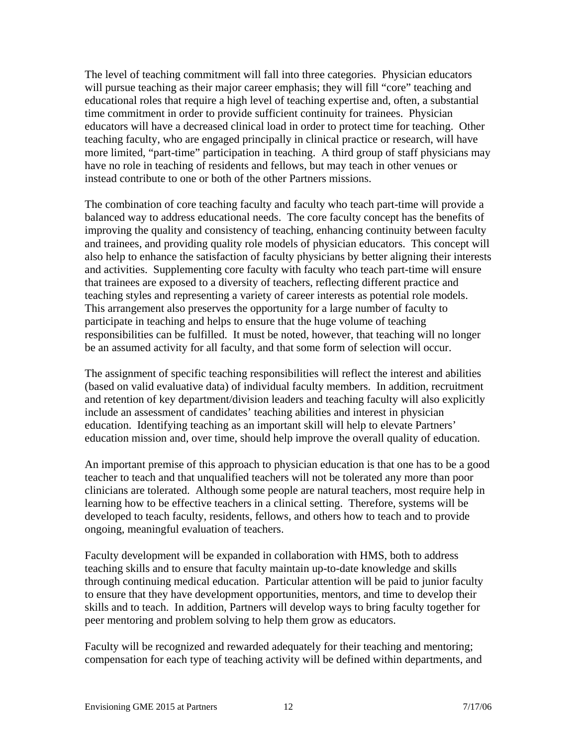The level of teaching commitment will fall into three categories. Physician educators will pursue teaching as their major career emphasis; they will fill "core" teaching and educational roles that require a high level of teaching expertise and, often, a substantial time commitment in order to provide sufficient continuity for trainees. Physician educators will have a decreased clinical load in order to protect time for teaching. Other teaching faculty, who are engaged principally in clinical practice or research, will have more limited, "part-time" participation in teaching. A third group of staff physicians may have no role in teaching of residents and fellows, but may teach in other venues or instead contribute to one or both of the other Partners missions.

The combination of core teaching faculty and faculty who teach part-time will provide a balanced way to address educational needs. The core faculty concept has the benefits of improving the quality and consistency of teaching, enhancing continuity between faculty and trainees, and providing quality role models of physician educators. This concept will also help to enhance the satisfaction of faculty physicians by better aligning their interests and activities. Supplementing core faculty with faculty who teach part-time will ensure that trainees are exposed to a diversity of teachers, reflecting different practice and teaching styles and representing a variety of career interests as potential role models. This arrangement also preserves the opportunity for a large number of faculty to participate in teaching and helps to ensure that the huge volume of teaching responsibilities can be fulfilled. It must be noted, however, that teaching will no longer be an assumed activity for all faculty, and that some form of selection will occur.

The assignment of specific teaching responsibilities will reflect the interest and abilities (based on valid evaluative data) of individual faculty members. In addition, recruitment and retention of key department/division leaders and teaching faculty will also explicitly include an assessment of candidates' teaching abilities and interest in physician education. Identifying teaching as an important skill will help to elevate Partners' education mission and, over time, should help improve the overall quality of education.

An important premise of this approach to physician education is that one has to be a good teacher to teach and that unqualified teachers will not be tolerated any more than poor clinicians are tolerated. Although some people are natural teachers, most require help in learning how to be effective teachers in a clinical setting. Therefore, systems will be developed to teach faculty, residents, fellows, and others how to teach and to provide ongoing, meaningful evaluation of teachers.

Faculty development will be expanded in collaboration with HMS, both to address teaching skills and to ensure that faculty maintain up-to-date knowledge and skills through continuing medical education. Particular attention will be paid to junior faculty to ensure that they have development opportunities, mentors, and time to develop their skills and to teach. In addition, Partners will develop ways to bring faculty together for peer mentoring and problem solving to help them grow as educators.

Faculty will be recognized and rewarded adequately for their teaching and mentoring; compensation for each type of teaching activity will be defined within departments, and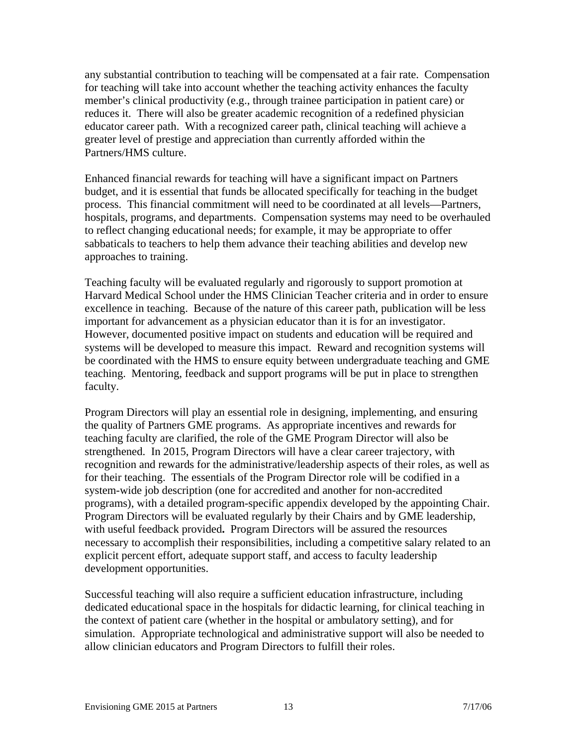any substantial contribution to teaching will be compensated at a fair rate. Compensation for teaching will take into account whether the teaching activity enhances the faculty member's clinical productivity (e.g., through trainee participation in patient care) or reduces it. There will also be greater academic recognition of a redefined physician educator career path. With a recognized career path, clinical teaching will achieve a greater level of prestige and appreciation than currently afforded within the Partners/HMS culture.

Enhanced financial rewards for teaching will have a significant impact on Partners budget, and it is essential that funds be allocated specifically for teaching in the budget process. This financial commitment will need to be coordinated at all levels—Partners, hospitals, programs, and departments. Compensation systems may need to be overhauled to reflect changing educational needs; for example, it may be appropriate to offer sabbaticals to teachers to help them advance their teaching abilities and develop new approaches to training.

Teaching faculty will be evaluated regularly and rigorously to support promotion at Harvard Medical School under the HMS Clinician Teacher criteria and in order to ensure excellence in teaching. Because of the nature of this career path, publication will be less important for advancement as a physician educator than it is for an investigator. However, documented positive impact on students and education will be required and systems will be developed to measure this impact. Reward and recognition systems will be coordinated with the HMS to ensure equity between undergraduate teaching and GME teaching. Mentoring, feedback and support programs will be put in place to strengthen faculty.

Program Directors will play an essential role in designing, implementing, and ensuring the quality of Partners GME programs. As appropriate incentives and rewards for teaching faculty are clarified, the role of the GME Program Director will also be strengthened. In 2015, Program Directors will have a clear career trajectory, with recognition and rewards for the administrative/leadership aspects of their roles, as well as for their teaching. The essentials of the Program Director role will be codified in a system-wide job description (one for accredited and another for non-accredited programs), with a detailed program-specific appendix developed by the appointing Chair. Program Directors will be evaluated regularly by their Chairs and by GME leadership, with useful feedback provided**.** Program Directors will be assured the resources necessary to accomplish their responsibilities, including a competitive salary related to an explicit percent effort, adequate support staff, and access to faculty leadership development opportunities.

Successful teaching will also require a sufficient education infrastructure, including dedicated educational space in the hospitals for didactic learning, for clinical teaching in the context of patient care (whether in the hospital or ambulatory setting), and for simulation. Appropriate technological and administrative support will also be needed to allow clinician educators and Program Directors to fulfill their roles.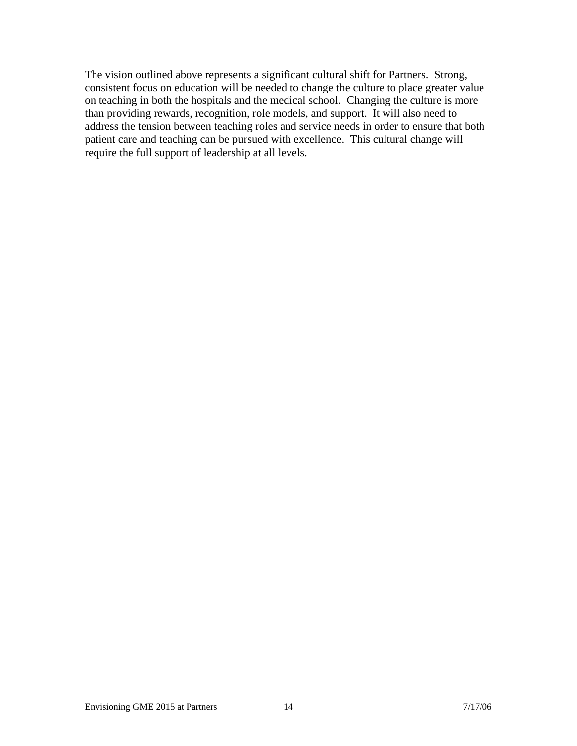The vision outlined above represents a significant cultural shift for Partners. Strong, consistent focus on education will be needed to change the culture to place greater value on teaching in both the hospitals and the medical school. Changing the culture is more than providing rewards, recognition, role models, and support. It will also need to address the tension between teaching roles and service needs in order to ensure that both patient care and teaching can be pursued with excellence. This cultural change will require the full support of leadership at all levels.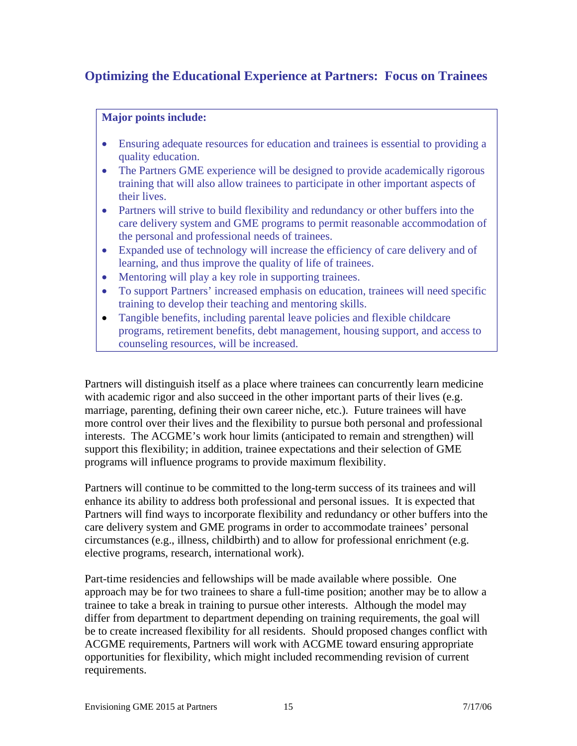### **Optimizing the Educational Experience at Partners: Focus on Trainees**

#### **Major points include:**

- Ensuring adequate resources for education and trainees is essential to providing a quality education.
- The Partners GME experience will be designed to provide academically rigorous training that will also allow trainees to participate in other important aspects of their lives.
- Partners will strive to build flexibility and redundancy or other buffers into the care delivery system and GME programs to permit reasonable accommodation of the personal and professional needs of trainees.
- Expanded use of technology will increase the efficiency of care delivery and of learning, and thus improve the quality of life of trainees.
- Mentoring will play a key role in supporting trainees.
- To support Partners' increased emphasis on education, trainees will need specific training to develop their teaching and mentoring skills.
- Tangible benefits, including parental leave policies and flexible childcare programs, retirement benefits, debt management, housing support, and access to counseling resources, will be increased.

Partners will distinguish itself as a place where trainees can concurrently learn medicine with academic rigor and also succeed in the other important parts of their lives (e.g. marriage, parenting, defining their own career niche, etc.). Future trainees will have more control over their lives and the flexibility to pursue both personal and professional interests. The ACGME's work hour limits (anticipated to remain and strengthen) will support this flexibility; in addition, trainee expectations and their selection of GME programs will influence programs to provide maximum flexibility.

Partners will continue to be committed to the long-term success of its trainees and will enhance its ability to address both professional and personal issues. It is expected that Partners will find ways to incorporate flexibility and redundancy or other buffers into the care delivery system and GME programs in order to accommodate trainees' personal circumstances (e.g., illness, childbirth) and to allow for professional enrichment (e.g. elective programs, research, international work).

Part-time residencies and fellowships will be made available where possible. One approach may be for two trainees to share a full-time position; another may be to allow a trainee to take a break in training to pursue other interests. Although the model may differ from department to department depending on training requirements, the goal will be to create increased flexibility for all residents. Should proposed changes conflict with ACGME requirements, Partners will work with ACGME toward ensuring appropriate opportunities for flexibility, which might included recommending revision of current requirements.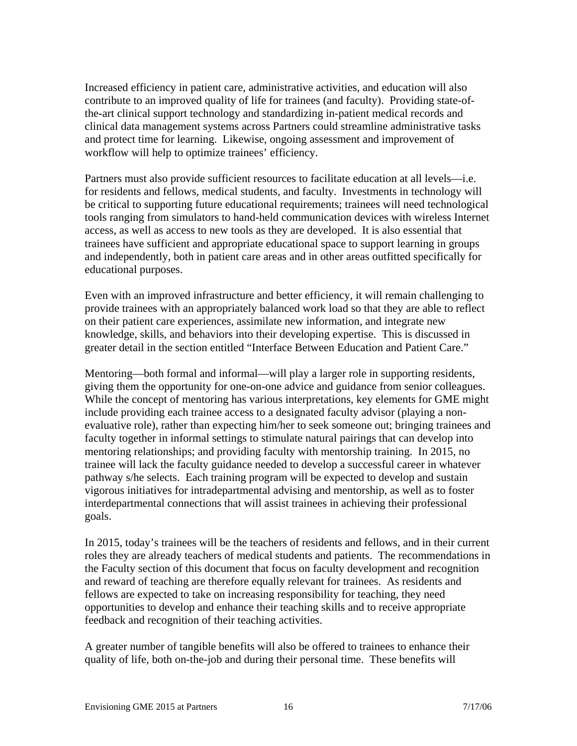Increased efficiency in patient care, administrative activities, and education will also contribute to an improved quality of life for trainees (and faculty). Providing state-ofthe-art clinical support technology and standardizing in-patient medical records and clinical data management systems across Partners could streamline administrative tasks and protect time for learning. Likewise, ongoing assessment and improvement of workflow will help to optimize trainees' efficiency.

Partners must also provide sufficient resources to facilitate education at all levels—i.e. for residents and fellows, medical students, and faculty. Investments in technology will be critical to supporting future educational requirements; trainees will need technological tools ranging from simulators to hand-held communication devices with wireless Internet access, as well as access to new tools as they are developed. It is also essential that trainees have sufficient and appropriate educational space to support learning in groups and independently, both in patient care areas and in other areas outfitted specifically for educational purposes.

Even with an improved infrastructure and better efficiency, it will remain challenging to provide trainees with an appropriately balanced work load so that they are able to reflect on their patient care experiences, assimilate new information, and integrate new knowledge, skills, and behaviors into their developing expertise. This is discussed in greater detail in the section entitled "Interface Between Education and Patient Care."

Mentoring—both formal and informal—will play a larger role in supporting residents, giving them the opportunity for one-on-one advice and guidance from senior colleagues. While the concept of mentoring has various interpretations, key elements for GME might include providing each trainee access to a designated faculty advisor (playing a nonevaluative role), rather than expecting him/her to seek someone out; bringing trainees and faculty together in informal settings to stimulate natural pairings that can develop into mentoring relationships; and providing faculty with mentorship training. In 2015, no trainee will lack the faculty guidance needed to develop a successful career in whatever pathway s/he selects. Each training program will be expected to develop and sustain vigorous initiatives for intradepartmental advising and mentorship, as well as to foster interdepartmental connections that will assist trainees in achieving their professional goals.

In 2015, today's trainees will be the teachers of residents and fellows, and in their current roles they are already teachers of medical students and patients. The recommendations in the Faculty section of this document that focus on faculty development and recognition and reward of teaching are therefore equally relevant for trainees. As residents and fellows are expected to take on increasing responsibility for teaching, they need opportunities to develop and enhance their teaching skills and to receive appropriate feedback and recognition of their teaching activities.

A greater number of tangible benefits will also be offered to trainees to enhance their quality of life, both on-the-job and during their personal time. These benefits will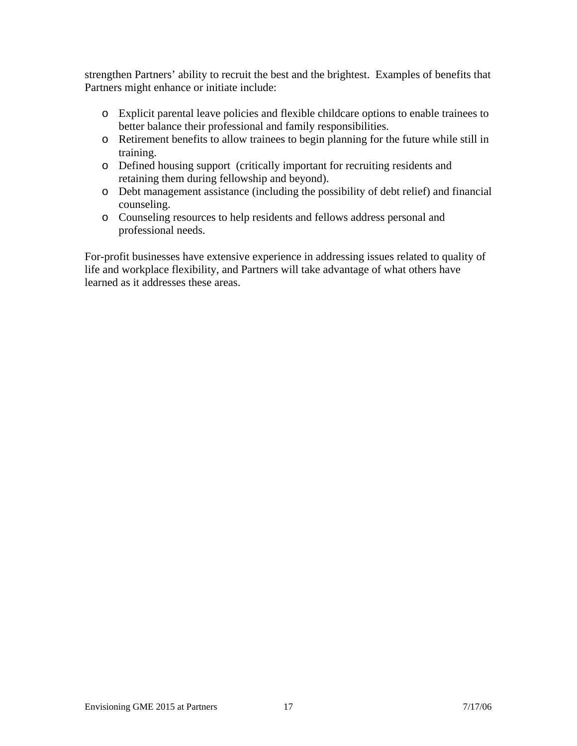strengthen Partners' ability to recruit the best and the brightest. Examples of benefits that Partners might enhance or initiate include:

- o Explicit parental leave policies and flexible childcare options to enable trainees to better balance their professional and family responsibilities.
- o Retirement benefits to allow trainees to begin planning for the future while still in training.
- o Defined housing support (critically important for recruiting residents and retaining them during fellowship and beyond).
- o Debt management assistance (including the possibility of debt relief) and financial counseling.
- o Counseling resources to help residents and fellows address personal and professional needs.

For-profit businesses have extensive experience in addressing issues related to quality of life and workplace flexibility, and Partners will take advantage of what others have learned as it addresses these areas.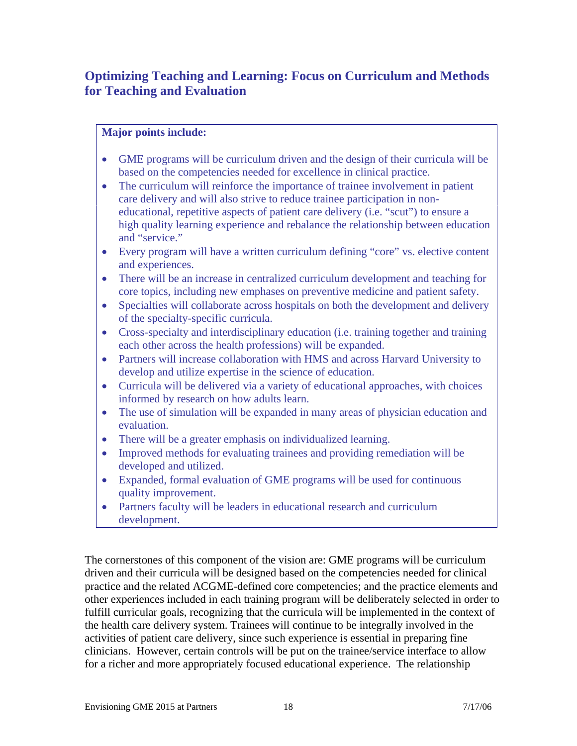### **Optimizing Teaching and Learning: Focus on Curriculum and Methods for Teaching and Evaluation**

#### **Major points include:**

- GME programs will be curriculum driven and the design of their curricula will be based on the competencies needed for excellence in clinical practice.
- The curriculum will reinforce the importance of trainee involvement in patient care delivery and will also strive to reduce trainee participation in noneducational, repetitive aspects of patient care delivery (i.e. "scut") to ensure a high quality learning experience and rebalance the relationship between education and "service."
- Every program will have a written curriculum defining "core" vs. elective content and experiences.
- There will be an increase in centralized curriculum development and teaching for core topics, including new emphases on preventive medicine and patient safety.
- Specialties will collaborate across hospitals on both the development and delivery of the specialty-specific curricula.
- Cross-specialty and interdisciplinary education (i.e. training together and training each other across the health professions) will be expanded.
- Partners will increase collaboration with HMS and across Harvard University to develop and utilize expertise in the science of education.
- Curricula will be delivered via a variety of educational approaches, with choices informed by research on how adults learn.
- The use of simulation will be expanded in many areas of physician education and evaluation.
- There will be a greater emphasis on individualized learning.
- Improved methods for evaluating trainees and providing remediation will be developed and utilized.
- Expanded, formal evaluation of GME programs will be used for continuous quality improvement.
- Partners faculty will be leaders in educational research and curriculum development.

The cornerstones of this component of the vision are: GME programs will be curriculum driven and their curricula will be designed based on the competencies needed for clinical practice and the related ACGME-defined core competencies; and the practice elements and other experiences included in each training program will be deliberately selected in order to fulfill curricular goals, recognizing that the curricula will be implemented in the context of the health care delivery system. Trainees will continue to be integrally involved in the activities of patient care delivery, since such experience is essential in preparing fine clinicians. However, certain controls will be put on the trainee/service interface to allow for a richer and more appropriately focused educational experience. The relationship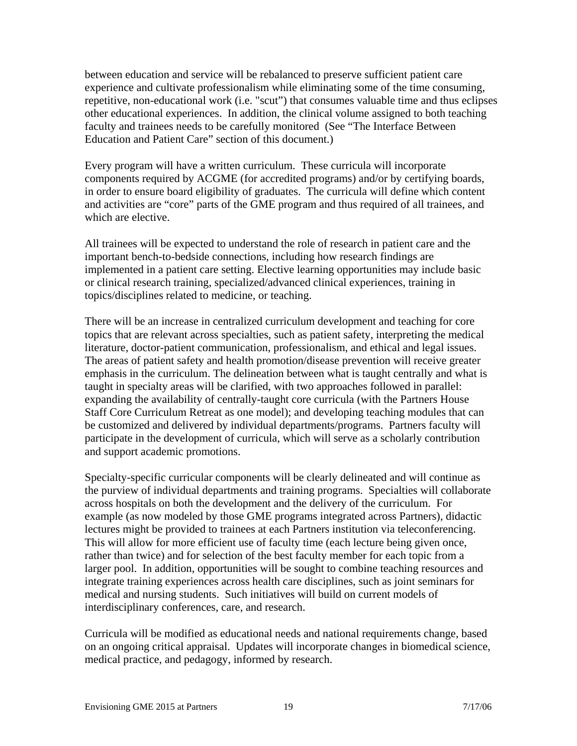between education and service will be rebalanced to preserve sufficient patient care experience and cultivate professionalism while eliminating some of the time consuming, repetitive, non-educational work (i.e. "scut") that consumes valuable time and thus eclipses other educational experiences. In addition, the clinical volume assigned to both teaching faculty and trainees needs to be carefully monitored (See "The Interface Between Education and Patient Care" section of this document.)

Every program will have a written curriculum. These curricula will incorporate components required by ACGME (for accredited programs) and/or by certifying boards, in order to ensure board eligibility of graduates. The curricula will define which content and activities are "core" parts of the GME program and thus required of all trainees, and which are elective.

All trainees will be expected to understand the role of research in patient care and the important bench-to-bedside connections, including how research findings are implemented in a patient care setting. Elective learning opportunities may include basic or clinical research training, specialized/advanced clinical experiences, training in topics/disciplines related to medicine, or teaching.

There will be an increase in centralized curriculum development and teaching for core topics that are relevant across specialties, such as patient safety, interpreting the medical literature, doctor-patient communication, professionalism, and ethical and legal issues. The areas of patient safety and health promotion/disease prevention will receive greater emphasis in the curriculum. The delineation between what is taught centrally and what is taught in specialty areas will be clarified, with two approaches followed in parallel: expanding the availability of centrally-taught core curricula (with the Partners House Staff Core Curriculum Retreat as one model); and developing teaching modules that can be customized and delivered by individual departments/programs. Partners faculty will participate in the development of curricula, which will serve as a scholarly contribution and support academic promotions.

Specialty-specific curricular components will be clearly delineated and will continue as the purview of individual departments and training programs. Specialties will collaborate across hospitals on both the development and the delivery of the curriculum. For example (as now modeled by those GME programs integrated across Partners), didactic lectures might be provided to trainees at each Partners institution via teleconferencing. This will allow for more efficient use of faculty time (each lecture being given once, rather than twice) and for selection of the best faculty member for each topic from a larger pool. In addition, opportunities will be sought to combine teaching resources and integrate training experiences across health care disciplines, such as joint seminars for medical and nursing students. Such initiatives will build on current models of interdisciplinary conferences, care, and research.

Curricula will be modified as educational needs and national requirements change, based on an ongoing critical appraisal. Updates will incorporate changes in biomedical science, medical practice, and pedagogy, informed by research.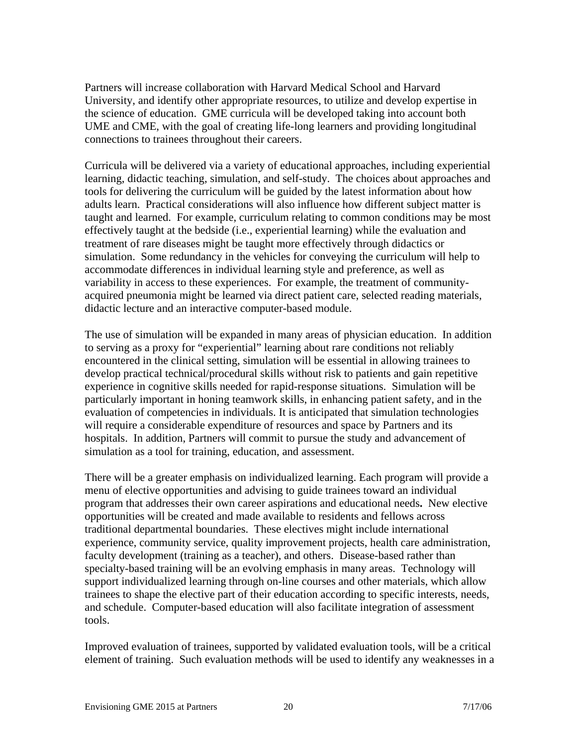Partners will increase collaboration with Harvard Medical School and Harvard University, and identify other appropriate resources, to utilize and develop expertise in the science of education. GME curricula will be developed taking into account both UME and CME, with the goal of creating life-long learners and providing longitudinal connections to trainees throughout their careers.

Curricula will be delivered via a variety of educational approaches, including experiential learning, didactic teaching, simulation, and self-study. The choices about approaches and tools for delivering the curriculum will be guided by the latest information about how adults learn. Practical considerations will also influence how different subject matter is taught and learned. For example, curriculum relating to common conditions may be most effectively taught at the bedside (i.e., experiential learning) while the evaluation and treatment of rare diseases might be taught more effectively through didactics or simulation. Some redundancy in the vehicles for conveying the curriculum will help to accommodate differences in individual learning style and preference, as well as variability in access to these experiences. For example, the treatment of communityacquired pneumonia might be learned via direct patient care, selected reading materials, didactic lecture and an interactive computer-based module.

The use of simulation will be expanded in many areas of physician education. In addition to serving as a proxy for "experiential" learning about rare conditions not reliably encountered in the clinical setting, simulation will be essential in allowing trainees to develop practical technical/procedural skills without risk to patients and gain repetitive experience in cognitive skills needed for rapid-response situations. Simulation will be particularly important in honing teamwork skills, in enhancing patient safety, and in the evaluation of competencies in individuals. It is anticipated that simulation technologies will require a considerable expenditure of resources and space by Partners and its hospitals. In addition, Partners will commit to pursue the study and advancement of simulation as a tool for training, education, and assessment.

There will be a greater emphasis on individualized learning. Each program will provide a menu of elective opportunities and advising to guide trainees toward an individual program that addresses their own career aspirations and educational needs**.** New elective opportunities will be created and made available to residents and fellows across traditional departmental boundaries. These electives might include international experience, community service, quality improvement projects, health care administration, faculty development (training as a teacher), and others. Disease-based rather than specialty-based training will be an evolving emphasis in many areas. Technology will support individualized learning through on-line courses and other materials, which allow trainees to shape the elective part of their education according to specific interests, needs, and schedule. Computer-based education will also facilitate integration of assessment tools.

Improved evaluation of trainees, supported by validated evaluation tools, will be a critical element of training.Such evaluation methods will be used to identify any weaknesses in a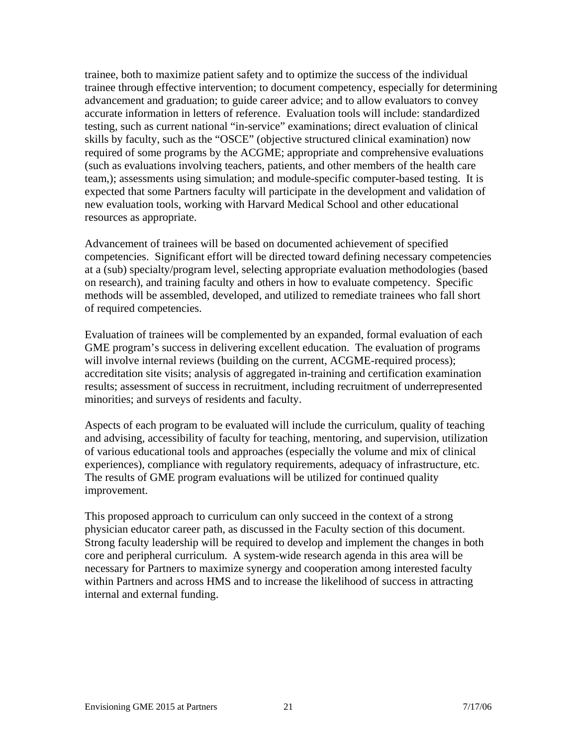trainee, both to maximize patient safety and to optimize the success of the individual trainee through effective intervention; to document competency, especially for determining advancement and graduation; to guide career advice; and to allow evaluators to convey accurate information in letters of reference. Evaluation tools will include: standardized testing, such as current national "in-service" examinations; direct evaluation of clinical skills by faculty, such as the "OSCE" (objective structured clinical examination) now required of some programs by the ACGME; appropriate and comprehensive evaluations (such as evaluations involving teachers, patients, and other members of the health care team,); assessments using simulation; and module-specific computer-based testing. It is expected that some Partners faculty will participate in the development and validation of new evaluation tools, working with Harvard Medical School and other educational resources as appropriate.

Advancement of trainees will be based on documented achievement of specified competencies. Significant effort will be directed toward defining necessary competencies at a (sub) specialty/program level, selecting appropriate evaluation methodologies (based on research), and training faculty and others in how to evaluate competency. Specific methods will be assembled, developed, and utilized to remediate trainees who fall short of required competencies.

Evaluation of trainees will be complemented by an expanded, formal evaluation of each GME program's success in delivering excellent education. The evaluation of programs will involve internal reviews (building on the current, ACGME-required process); accreditation site visits; analysis of aggregated in-training and certification examination results; assessment of success in recruitment, including recruitment of underrepresented minorities; and surveys of residents and faculty.

Aspects of each program to be evaluated will include the curriculum, quality of teaching and advising, accessibility of faculty for teaching, mentoring, and supervision, utilization of various educational tools and approaches (especially the volume and mix of clinical experiences), compliance with regulatory requirements, adequacy of infrastructure, etc. The results of GME program evaluations will be utilized for continued quality improvement.

This proposed approach to curriculum can only succeed in the context of a strong physician educator career path, as discussed in the Faculty section of this document. Strong faculty leadership will be required to develop and implement the changes in both core and peripheral curriculum. A system-wide research agenda in this area will be necessary for Partners to maximize synergy and cooperation among interested faculty within Partners and across HMS and to increase the likelihood of success in attracting internal and external funding.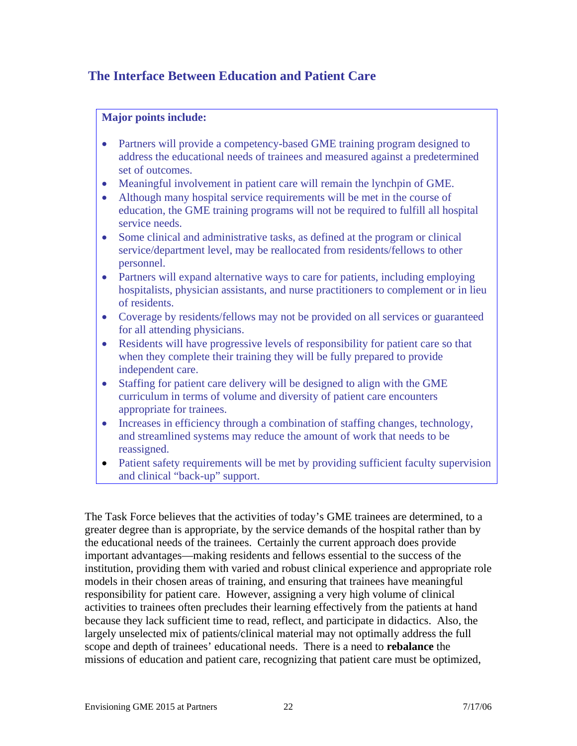### **The Interface Between Education and Patient Care**

#### **Major points include:**

- Partners will provide a competency-based GME training program designed to address the educational needs of trainees and measured against a predetermined set of outcomes.
- Meaningful involvement in patient care will remain the lynchpin of GME.
- Although many hospital service requirements will be met in the course of education, the GME training programs will not be required to fulfill all hospital service needs.
- Some clinical and administrative tasks, as defined at the program or clinical service/department level, may be reallocated from residents/fellows to other personnel.
- Partners will expand alternative ways to care for patients, including employing hospitalists, physician assistants, and nurse practitioners to complement or in lieu of residents.
- Coverage by residents/fellows may not be provided on all services or guaranteed for all attending physicians.
- Residents will have progressive levels of responsibility for patient care so that when they complete their training they will be fully prepared to provide independent care.
- Staffing for patient care delivery will be designed to align with the GME curriculum in terms of volume and diversity of patient care encounters appropriate for trainees.
- Increases in efficiency through a combination of staffing changes, technology, and streamlined systems may reduce the amount of work that needs to be reassigned.
- Patient safety requirements will be met by providing sufficient faculty supervision and clinical "back-up" support.

The Task Force believes that the activities of today's GME trainees are determined, to a greater degree than is appropriate, by the service demands of the hospital rather than by the educational needs of the trainees. Certainly the current approach does provide important advantages—making residents and fellows essential to the success of the institution, providing them with varied and robust clinical experience and appropriate role models in their chosen areas of training, and ensuring that trainees have meaningful responsibility for patient care. However, assigning a very high volume of clinical activities to trainees often precludes their learning effectively from the patients at hand because they lack sufficient time to read, reflect, and participate in didactics. Also, the largely unselected mix of patients/clinical material may not optimally address the full scope and depth of trainees' educational needs. There is a need to **rebalance** the missions of education and patient care, recognizing that patient care must be optimized,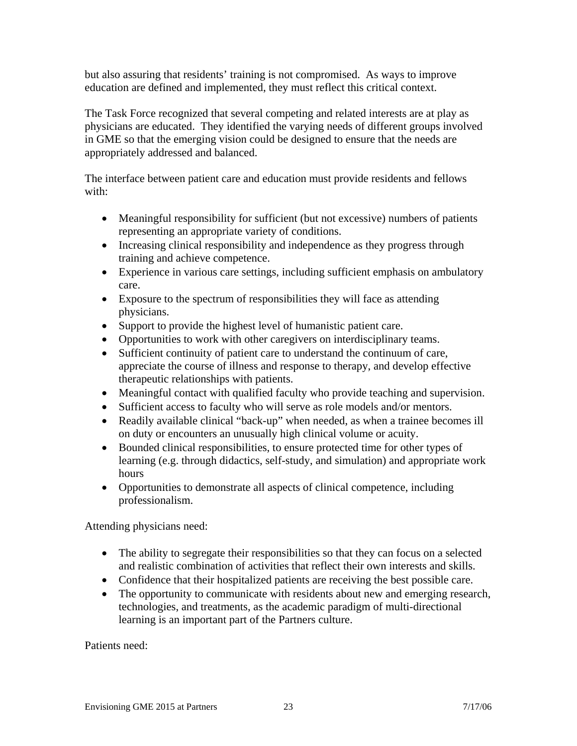but also assuring that residents' training is not compromised. As ways to improve education are defined and implemented, they must reflect this critical context.

The Task Force recognized that several competing and related interests are at play as physicians are educated. They identified the varying needs of different groups involved in GME so that the emerging vision could be designed to ensure that the needs are appropriately addressed and balanced.

The interface between patient care and education must provide residents and fellows with:

- Meaningful responsibility for sufficient (but not excessive) numbers of patients representing an appropriate variety of conditions.
- Increasing clinical responsibility and independence as they progress through training and achieve competence.
- Experience in various care settings, including sufficient emphasis on ambulatory care.
- Exposure to the spectrum of responsibilities they will face as attending physicians.
- Support to provide the highest level of humanistic patient care.
- Opportunities to work with other caregivers on interdisciplinary teams.
- Sufficient continuity of patient care to understand the continuum of care, appreciate the course of illness and response to therapy, and develop effective therapeutic relationships with patients.
- Meaningful contact with qualified faculty who provide teaching and supervision.
- Sufficient access to faculty who will serve as role models and/or mentors.
- Readily available clinical "back-up" when needed, as when a trainee becomes ill on duty or encounters an unusually high clinical volume or acuity.
- Bounded clinical responsibilities, to ensure protected time for other types of learning (e.g. through didactics, self-study, and simulation) and appropriate work hours
- Opportunities to demonstrate all aspects of clinical competence, including professionalism.

Attending physicians need:

- The ability to segregate their responsibilities so that they can focus on a selected and realistic combination of activities that reflect their own interests and skills.
- Confidence that their hospitalized patients are receiving the best possible care.
- The opportunity to communicate with residents about new and emerging research, technologies, and treatments, as the academic paradigm of multi-directional learning is an important part of the Partners culture.

Patients need: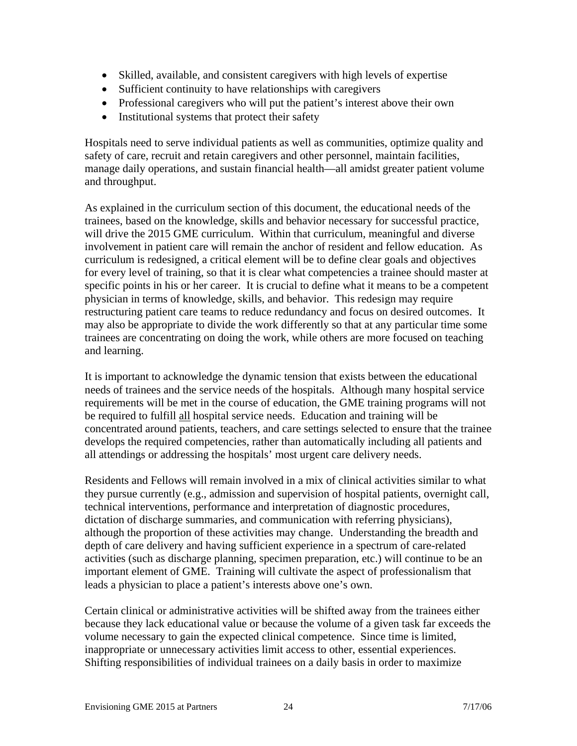- Skilled, available, and consistent caregivers with high levels of expertise
- Sufficient continuity to have relationships with caregivers
- Professional caregivers who will put the patient's interest above their own
- Institutional systems that protect their safety

Hospitals need to serve individual patients as well as communities, optimize quality and safety of care, recruit and retain caregivers and other personnel, maintain facilities, manage daily operations, and sustain financial health—all amidst greater patient volume and throughput.

As explained in the curriculum section of this document, the educational needs of the trainees, based on the knowledge, skills and behavior necessary for successful practice, will drive the 2015 GME curriculum. Within that curriculum, meaningful and diverse involvement in patient care will remain the anchor of resident and fellow education. As curriculum is redesigned, a critical element will be to define clear goals and objectives for every level of training, so that it is clear what competencies a trainee should master at specific points in his or her career. It is crucial to define what it means to be a competent physician in terms of knowledge, skills, and behavior. This redesign may require restructuring patient care teams to reduce redundancy and focus on desired outcomes. It may also be appropriate to divide the work differently so that at any particular time some trainees are concentrating on doing the work, while others are more focused on teaching and learning.

It is important to acknowledge the dynamic tension that exists between the educational needs of trainees and the service needs of the hospitals. Although many hospital service requirements will be met in the course of education, the GME training programs will not be required to fulfill all hospital service needs. Education and training will be concentrated around patients, teachers, and care settings selected to ensure that the trainee develops the required competencies, rather than automatically including all patients and all attendings or addressing the hospitals' most urgent care delivery needs.

Residents and Fellows will remain involved in a mix of clinical activities similar to what they pursue currently (e.g., admission and supervision of hospital patients, overnight call, technical interventions, performance and interpretation of diagnostic procedures, dictation of discharge summaries, and communication with referring physicians), although the proportion of these activities may change. Understanding the breadth and depth of care delivery and having sufficient experience in a spectrum of care-related activities (such as discharge planning, specimen preparation, etc.) will continue to be an important element of GME. Training will cultivate the aspect of professionalism that leads a physician to place a patient's interests above one's own.

Certain clinical or administrative activities will be shifted away from the trainees either because they lack educational value or because the volume of a given task far exceeds the volume necessary to gain the expected clinical competence. Since time is limited, inappropriate or unnecessary activities limit access to other, essential experiences. Shifting responsibilities of individual trainees on a daily basis in order to maximize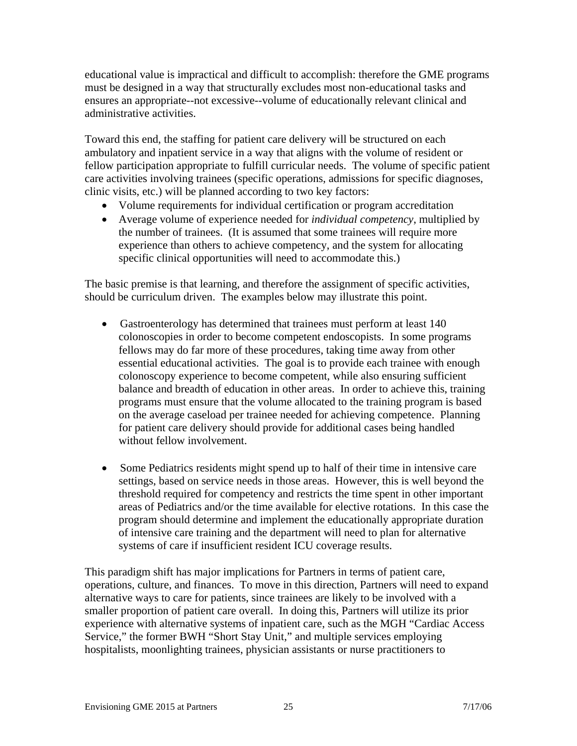educational value is impractical and difficult to accomplish: therefore the GME programs must be designed in a way that structurally excludes most non-educational tasks and ensures an appropriate--not excessive--volume of educationally relevant clinical and administrative activities.

Toward this end, the staffing for patient care delivery will be structured on each ambulatory and inpatient service in a way that aligns with the volume of resident or fellow participation appropriate to fulfill curricular needs. The volume of specific patient care activities involving trainees (specific operations, admissions for specific diagnoses, clinic visits, etc.) will be planned according to two key factors:

- Volume requirements for individual certification or program accreditation
- Average volume of experience needed for *individual competency*, multiplied by the number of trainees. (It is assumed that some trainees will require more experience than others to achieve competency, and the system for allocating specific clinical opportunities will need to accommodate this.)

The basic premise is that learning, and therefore the assignment of specific activities, should be curriculum driven. The examples below may illustrate this point.

- Gastroenterology has determined that trainees must perform at least 140 colonoscopies in order to become competent endoscopists. In some programs fellows may do far more of these procedures, taking time away from other essential educational activities. The goal is to provide each trainee with enough colonoscopy experience to become competent, while also ensuring sufficient balance and breadth of education in other areas. In order to achieve this, training programs must ensure that the volume allocated to the training program is based on the average caseload per trainee needed for achieving competence. Planning for patient care delivery should provide for additional cases being handled without fellow involvement.
- Some Pediatrics residents might spend up to half of their time in intensive care settings, based on service needs in those areas. However, this is well beyond the threshold required for competency and restricts the time spent in other important areas of Pediatrics and/or the time available for elective rotations. In this case the program should determine and implement the educationally appropriate duration of intensive care training and the department will need to plan for alternative systems of care if insufficient resident ICU coverage results.

This paradigm shift has major implications for Partners in terms of patient care, operations, culture, and finances. To move in this direction, Partners will need to expand alternative ways to care for patients, since trainees are likely to be involved with a smaller proportion of patient care overall. In doing this, Partners will utilize its prior experience with alternative systems of inpatient care, such as the MGH "Cardiac Access Service," the former BWH "Short Stay Unit," and multiple services employing hospitalists, moonlighting trainees, physician assistants or nurse practitioners to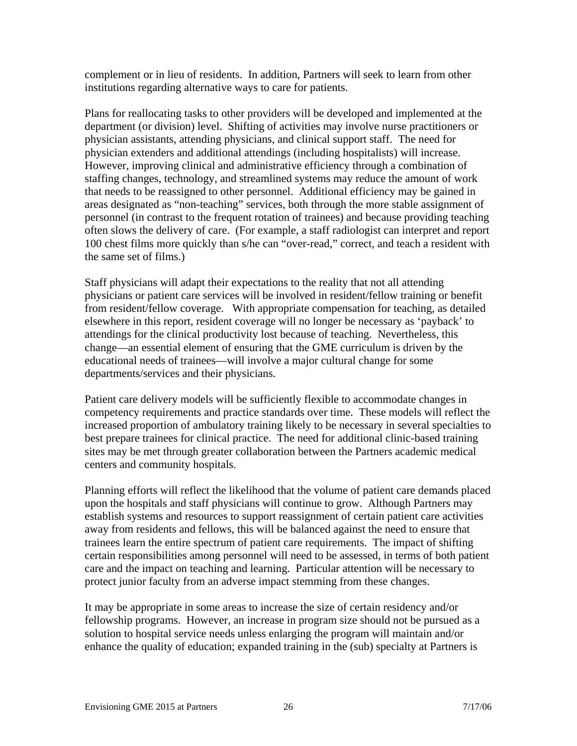complement or in lieu of residents. In addition, Partners will seek to learn from other institutions regarding alternative ways to care for patients.

Plans for reallocating tasks to other providers will be developed and implemented at the department (or division) level. Shifting of activities may involve nurse practitioners or physician assistants, attending physicians, and clinical support staff.The need for physician extenders and additional attendings (including hospitalists) will increase. However, improving clinical and administrative efficiency through a combination of staffing changes, technology, and streamlined systems may reduce the amount of work that needs to be reassigned to other personnel. Additional efficiency may be gained in areas designated as "non-teaching" services, both through the more stable assignment of personnel (in contrast to the frequent rotation of trainees) and because providing teaching often slows the delivery of care. (For example, a staff radiologist can interpret and report 100 chest films more quickly than s/he can "over-read," correct, and teach a resident with the same set of films.)

Staff physicians will adapt their expectations to the reality that not all attending physicians or patient care services will be involved in resident/fellow training or benefit from resident/fellow coverage. With appropriate compensation for teaching, as detailed elsewhere in this report, resident coverage will no longer be necessary as 'payback' to attendings for the clinical productivity lost because of teaching. Nevertheless, this change—an essential element of ensuring that the GME curriculum is driven by the educational needs of trainees—will involve a major cultural change for some departments/services and their physicians.

Patient care delivery models will be sufficiently flexible to accommodate changes in competency requirements and practice standards over time. These models will reflect the increased proportion of ambulatory training likely to be necessary in several specialties to best prepare trainees for clinical practice. The need for additional clinic-based training sites may be met through greater collaboration between the Partners academic medical centers and community hospitals.

Planning efforts will reflect the likelihood that the volume of patient care demands placed upon the hospitals and staff physicians will continue to grow. Although Partners may establish systems and resources to support reassignment of certain patient care activities away from residents and fellows, this will be balanced against the need to ensure that trainees learn the entire spectrum of patient care requirements. The impact of shifting certain responsibilities among personnel will need to be assessed, in terms of both patient care and the impact on teaching and learning. Particular attention will be necessary to protect junior faculty from an adverse impact stemming from these changes.

It may be appropriate in some areas to increase the size of certain residency and/or fellowship programs. However, an increase in program size should not be pursued as a solution to hospital service needs unless enlarging the program will maintain and/or enhance the quality of education; expanded training in the (sub) specialty at Partners is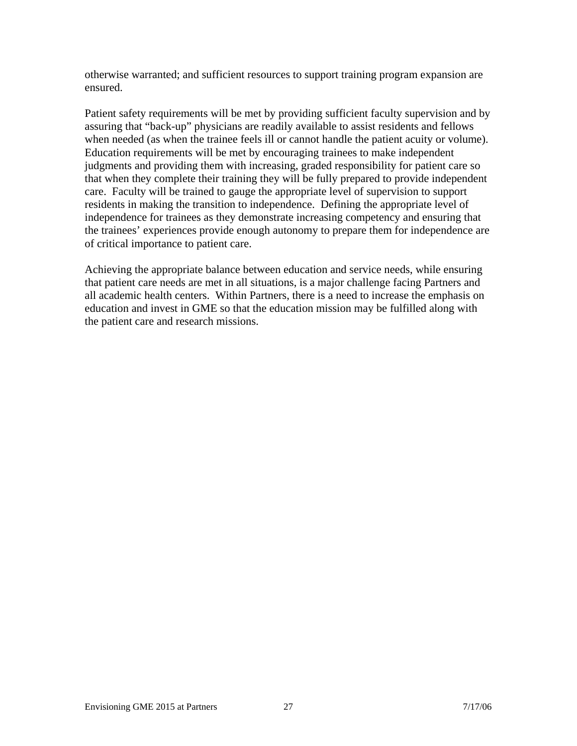otherwise warranted; and sufficient resources to support training program expansion are ensured.

Patient safety requirements will be met by providing sufficient faculty supervision and by assuring that "back-up" physicians are readily available to assist residents and fellows when needed (as when the trainee feels ill or cannot handle the patient acuity or volume). Education requirements will be met by encouraging trainees to make independent judgments and providing them with increasing, graded responsibility for patient care so that when they complete their training they will be fully prepared to provide independent care. Faculty will be trained to gauge the appropriate level of supervision to support residents in making the transition to independence. Defining the appropriate level of independence for trainees as they demonstrate increasing competency and ensuring that the trainees' experiences provide enough autonomy to prepare them for independence are of critical importance to patient care.

Achieving the appropriate balance between education and service needs, while ensuring that patient care needs are met in all situations, is a major challenge facing Partners and all academic health centers. Within Partners, there is a need to increase the emphasis on education and invest in GME so that the education mission may be fulfilled along with the patient care and research missions.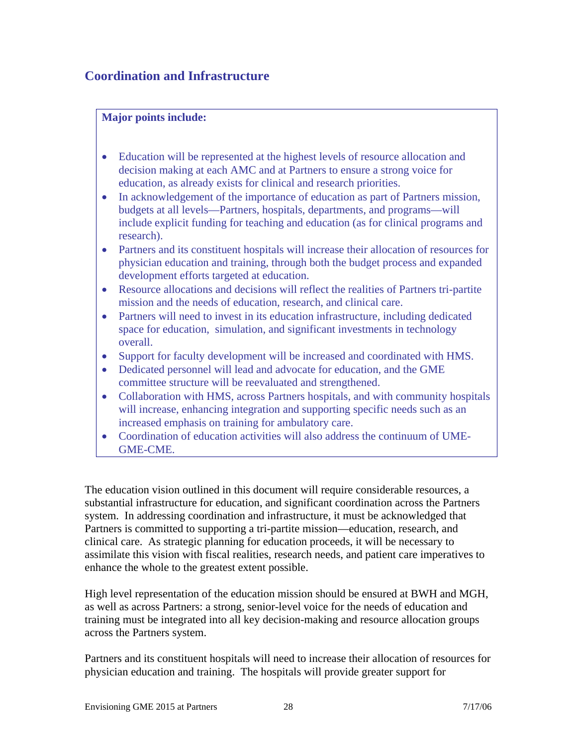### **Coordination and Infrastructure**

#### **Major points include:**

- Education will be represented at the highest levels of resource allocation and decision making at each AMC and at Partners to ensure a strong voice for education, as already exists for clinical and research priorities.
- In acknowledgement of the importance of education as part of Partners mission, budgets at all levels—Partners, hospitals, departments, and programs—will include explicit funding for teaching and education (as for clinical programs and research).
- Partners and its constituent hospitals will increase their allocation of resources for physician education and training, through both the budget process and expanded development efforts targeted at education.
- Resource allocations and decisions will reflect the realities of Partners tri-partite mission and the needs of education, research, and clinical care.
- Partners will need to invest in its education infrastructure, including dedicated space for education, simulation, and significant investments in technology overall.
- Support for faculty development will be increased and coordinated with HMS.
- Dedicated personnel will lead and advocate for education, and the GME committee structure will be reevaluated and strengthened.
- Collaboration with HMS, across Partners hospitals, and with community hospitals will increase, enhancing integration and supporting specific needs such as an increased emphasis on training for ambulatory care.
- Coordination of education activities will also address the continuum of UME-GME-CME.

The education vision outlined in this document will require considerable resources, a substantial infrastructure for education, and significant coordination across the Partners system. In addressing coordination and infrastructure, it must be acknowledged that Partners is committed to supporting a tri-partite mission—education, research, and clinical care. As strategic planning for education proceeds, it will be necessary to assimilate this vision with fiscal realities, research needs, and patient care imperatives to enhance the whole to the greatest extent possible.

High level representation of the education mission should be ensured at BWH and MGH, as well as across Partners: a strong, senior-level voice for the needs of education and training must be integrated into all key decision-making and resource allocation groups across the Partners system.

Partners and its constituent hospitals will need to increase their allocation of resources for physician education and training. The hospitals will provide greater support for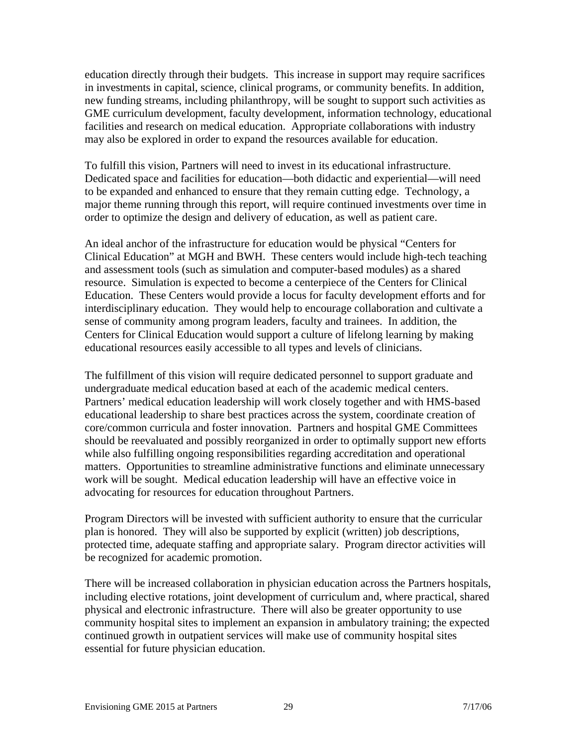education directly through their budgets. This increase in support may require sacrifices in investments in capital, science, clinical programs, or community benefits. In addition, new funding streams, including philanthropy, will be sought to support such activities as GME curriculum development, faculty development, information technology, educational facilities and research on medical education. Appropriate collaborations with industry may also be explored in order to expand the resources available for education.

To fulfill this vision, Partners will need to invest in its educational infrastructure. Dedicated space and facilities for education—both didactic and experiential—will need to be expanded and enhanced to ensure that they remain cutting edge. Technology, a major theme running through this report, will require continued investments over time in order to optimize the design and delivery of education, as well as patient care.

An ideal anchor of the infrastructure for education would be physical "Centers for Clinical Education" at MGH and BWH. These centers would include high-tech teaching and assessment tools (such as simulation and computer-based modules) as a shared resource. Simulation is expected to become a centerpiece of the Centers for Clinical Education. These Centers would provide a locus for faculty development efforts and for interdisciplinary education. They would help to encourage collaboration and cultivate a sense of community among program leaders, faculty and trainees. In addition, the Centers for Clinical Education would support a culture of lifelong learning by making educational resources easily accessible to all types and levels of clinicians.

The fulfillment of this vision will require dedicated personnel to support graduate and undergraduate medical education based at each of the academic medical centers. Partners' medical education leadership will work closely together and with HMS-based educational leadership to share best practices across the system, coordinate creation of core/common curricula and foster innovation. Partners and hospital GME Committees should be reevaluated and possibly reorganized in order to optimally support new efforts while also fulfilling ongoing responsibilities regarding accreditation and operational matters. Opportunities to streamline administrative functions and eliminate unnecessary work will be sought. Medical education leadership will have an effective voice in advocating for resources for education throughout Partners.

Program Directors will be invested with sufficient authority to ensure that the curricular plan is honored. They will also be supported by explicit (written) job descriptions, protected time, adequate staffing and appropriate salary. Program director activities will be recognized for academic promotion.

There will be increased collaboration in physician education across the Partners hospitals, including elective rotations, joint development of curriculum and, where practical, shared physical and electronic infrastructure. There will also be greater opportunity to use community hospital sites to implement an expansion in ambulatory training; the expected continued growth in outpatient services will make use of community hospital sites essential for future physician education.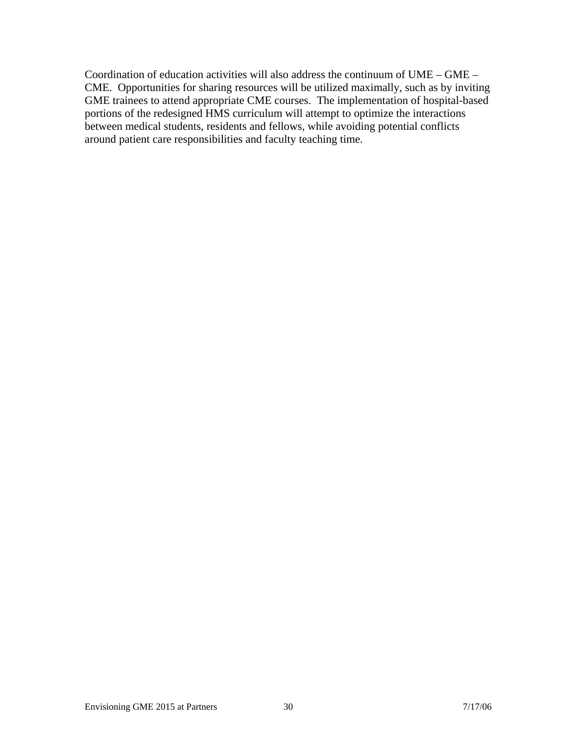Coordination of education activities will also address the continuum of UME – GME – CME. Opportunities for sharing resources will be utilized maximally, such as by inviting GME trainees to attend appropriate CME courses. The implementation of hospital-based portions of the redesigned HMS curriculum will attempt to optimize the interactions between medical students, residents and fellows, while avoiding potential conflicts around patient care responsibilities and faculty teaching time.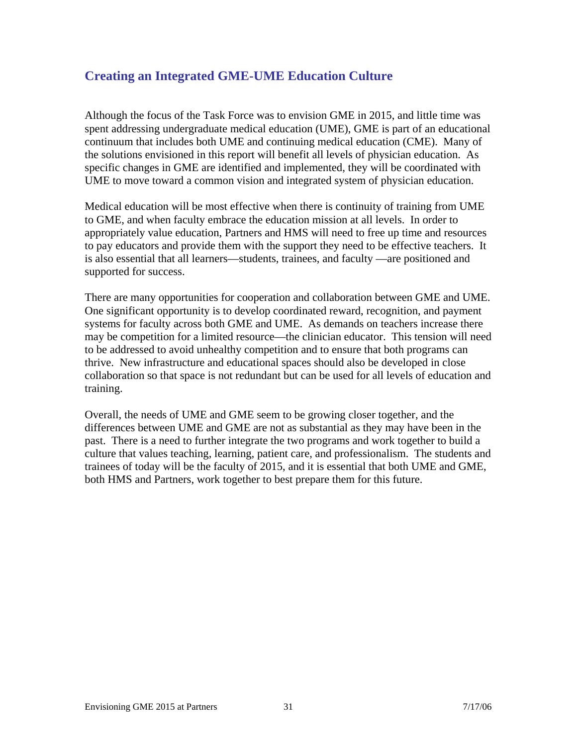### **Creating an Integrated GME-UME Education Culture**

Although the focus of the Task Force was to envision GME in 2015, and little time was spent addressing undergraduate medical education (UME), GME is part of an educational continuum that includes both UME and continuing medical education (CME). Many of the solutions envisioned in this report will benefit all levels of physician education. As specific changes in GME are identified and implemented, they will be coordinated with UME to move toward a common vision and integrated system of physician education.

Medical education will be most effective when there is continuity of training from UME to GME, and when faculty embrace the education mission at all levels. In order to appropriately value education, Partners and HMS will need to free up time and resources to pay educators and provide them with the support they need to be effective teachers. It is also essential that all learners—students, trainees, and faculty —are positioned and supported for success.

There are many opportunities for cooperation and collaboration between GME and UME. One significant opportunity is to develop coordinated reward, recognition, and payment systems for faculty across both GME and UME. As demands on teachers increase there may be competition for a limited resource—the clinician educator. This tension will need to be addressed to avoid unhealthy competition and to ensure that both programs can thrive. New infrastructure and educational spaces should also be developed in close collaboration so that space is not redundant but can be used for all levels of education and training.

Overall, the needs of UME and GME seem to be growing closer together, and the differences between UME and GME are not as substantial as they may have been in the past. There is a need to further integrate the two programs and work together to build a culture that values teaching, learning, patient care, and professionalism. The students and trainees of today will be the faculty of 2015, and it is essential that both UME and GME, both HMS and Partners, work together to best prepare them for this future.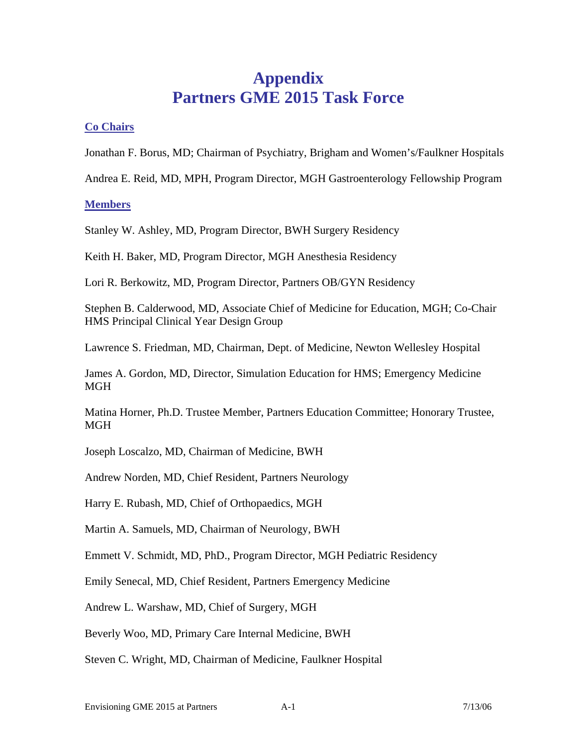## **Appendix Partners GME 2015 Task Force**

#### **Co Chairs**

Jonathan F. Borus, MD; Chairman of Psychiatry, Brigham and Women's/Faulkner Hospitals

Andrea E. Reid, MD, MPH, Program Director, MGH Gastroenterology Fellowship Program

#### **Members**

Stanley W. Ashley, MD, Program Director, BWH Surgery Residency

Keith H. Baker, MD, Program Director, MGH Anesthesia Residency

Lori R. Berkowitz, MD, Program Director, Partners OB/GYN Residency

Stephen B. Calderwood, MD, Associate Chief of Medicine for Education, MGH; Co-Chair HMS Principal Clinical Year Design Group

Lawrence S. Friedman, MD, Chairman, Dept. of Medicine, Newton Wellesley Hospital

James A. Gordon, MD, Director, Simulation Education for HMS; Emergency Medicine **MGH** 

Matina Horner, Ph.D. Trustee Member, Partners Education Committee; Honorary Trustee, **MGH** 

Joseph Loscalzo, MD, Chairman of Medicine, BWH

Andrew Norden, MD, Chief Resident, Partners Neurology

Harry E. Rubash, MD, Chief of Orthopaedics, MGH

Martin A. Samuels, MD, Chairman of Neurology, BWH

Emmett V. Schmidt, MD, PhD., Program Director, MGH Pediatric Residency

Emily Senecal, MD, Chief Resident, Partners Emergency Medicine

Andrew L. Warshaw, MD, Chief of Surgery, MGH

Beverly Woo, MD, Primary Care Internal Medicine, BWH

Steven C. Wright, MD, Chairman of Medicine, Faulkner Hospital